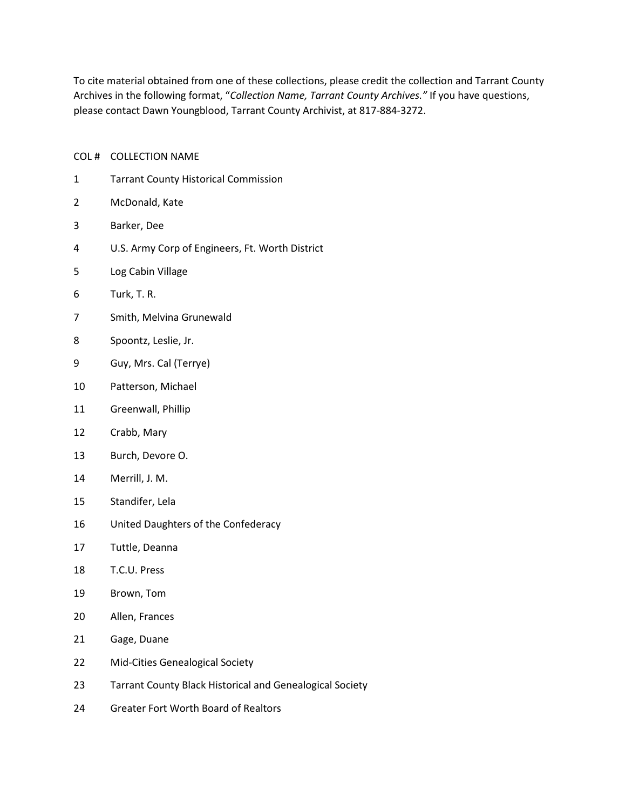To cite material obtained from one of these collections, please credit the collection and Tarrant County Archives in the following format, "*Collection Name, Tarrant County Archives."* If you have questions, please contact Dawn Youngblood, Tarrant County Archivist, at 817-884-3272.

## COL # COLLECTION NAME

- Tarrant County Historical Commission
- McDonald, Kate
- Barker, Dee
- U.S. Army Corp of Engineers, Ft. Worth District
- Log Cabin Village
- Turk, T. R.
- Smith, Melvina Grunewald
- Spoontz, Leslie, Jr.
- Guy, Mrs. Cal (Terrye)
- Patterson, Michael
- Greenwall, Phillip
- Crabb, Mary
- Burch, Devore O.
- Merrill, J. M.
- Standifer, Lela
- United Daughters of the Confederacy
- Tuttle, Deanna
- T.C.U. Press
- Brown, Tom
- Allen, Frances
- Gage, Duane
- Mid-Cities Genealogical Society
- Tarrant County Black Historical and Genealogical Society
- Greater Fort Worth Board of Realtors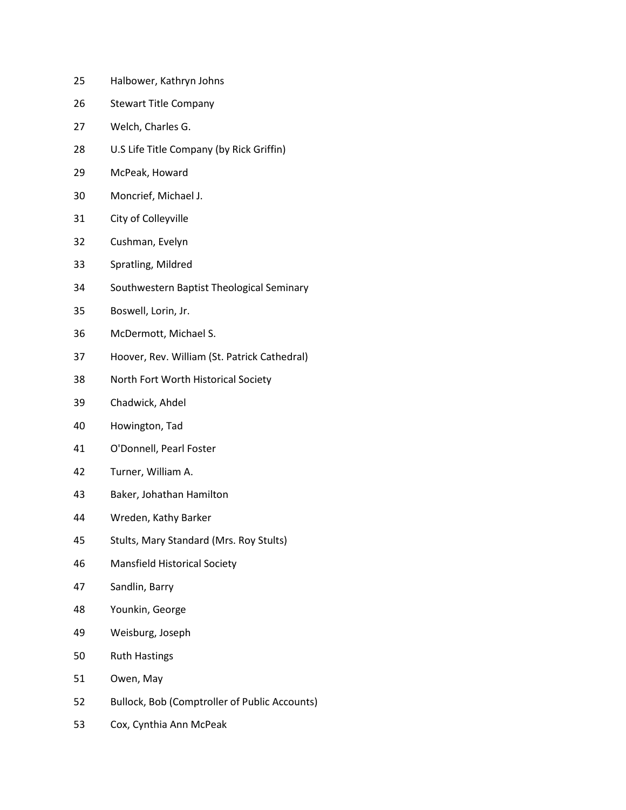- Halbower, Kathryn Johns
- Stewart Title Company
- Welch, Charles G.
- U.S Life Title Company (by Rick Griffin)
- McPeak, Howard
- Moncrief, Michael J.
- City of Colleyville
- Cushman, Evelyn
- Spratling, Mildred
- Southwestern Baptist Theological Seminary
- Boswell, Lorin, Jr.
- McDermott, Michael S.
- Hoover, Rev. William (St. Patrick Cathedral)
- North Fort Worth Historical Society
- Chadwick, Ahdel
- Howington, Tad
- O'Donnell, Pearl Foster
- Turner, William A.
- Baker, Johathan Hamilton
- Wreden, Kathy Barker
- Stults, Mary Standard (Mrs. Roy Stults)
- Mansfield Historical Society
- Sandlin, Barry
- Younkin, George
- Weisburg, Joseph
- Ruth Hastings
- Owen, May
- Bullock, Bob (Comptroller of Public Accounts)
- Cox, Cynthia Ann McPeak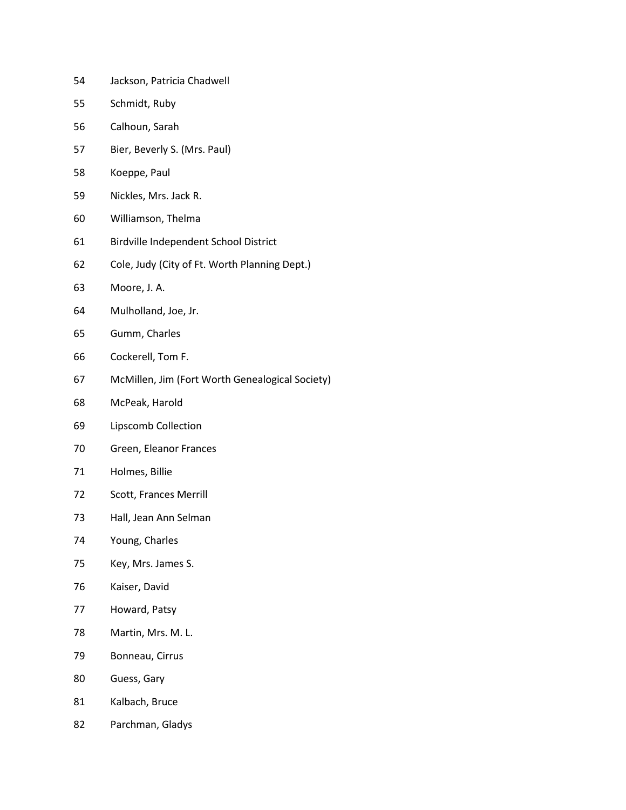- Jackson, Patricia Chadwell
- Schmidt, Ruby
- Calhoun, Sarah
- Bier, Beverly S. (Mrs. Paul)
- Koeppe, Paul
- Nickles, Mrs. Jack R.
- Williamson, Thelma
- Birdville Independent School District
- Cole, Judy (City of Ft. Worth Planning Dept.)
- Moore, J. A.
- Mulholland, Joe, Jr.
- Gumm, Charles
- Cockerell, Tom F.
- McMillen, Jim (Fort Worth Genealogical Society)
- McPeak, Harold
- Lipscomb Collection
- Green, Eleanor Frances
- Holmes, Billie
- Scott, Frances Merrill
- Hall, Jean Ann Selman
- Young, Charles
- Key, Mrs. James S.
- Kaiser, David
- Howard, Patsy
- Martin, Mrs. M. L.
- Bonneau, Cirrus
- Guess, Gary
- Kalbach, Bruce
- Parchman, Gladys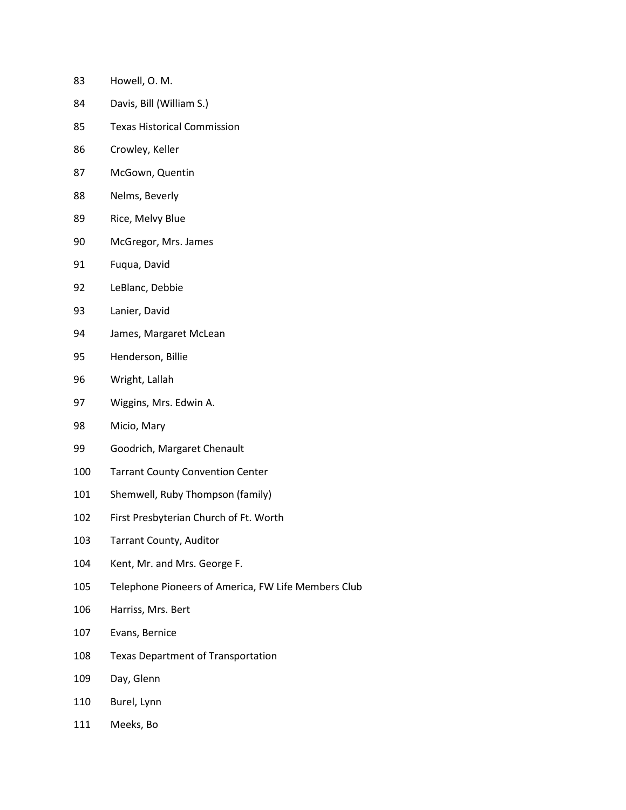- Howell, O. M.
- Davis, Bill (William S.)
- Texas Historical Commission
- Crowley, Keller
- McGown, Quentin
- Nelms, Beverly
- Rice, Melvy Blue
- McGregor, Mrs. James
- Fuqua, David
- LeBlanc, Debbie
- Lanier, David
- James, Margaret McLean
- Henderson, Billie
- Wright, Lallah
- Wiggins, Mrs. Edwin A.
- Micio, Mary
- Goodrich, Margaret Chenault
- Tarrant County Convention Center
- Shemwell, Ruby Thompson (family)
- First Presbyterian Church of Ft. Worth
- Tarrant County, Auditor
- Kent, Mr. and Mrs. George F.
- Telephone Pioneers of America, FW Life Members Club
- Harriss, Mrs. Bert
- Evans, Bernice
- Texas Department of Transportation
- Day, Glenn
- Burel, Lynn
- Meeks, Bo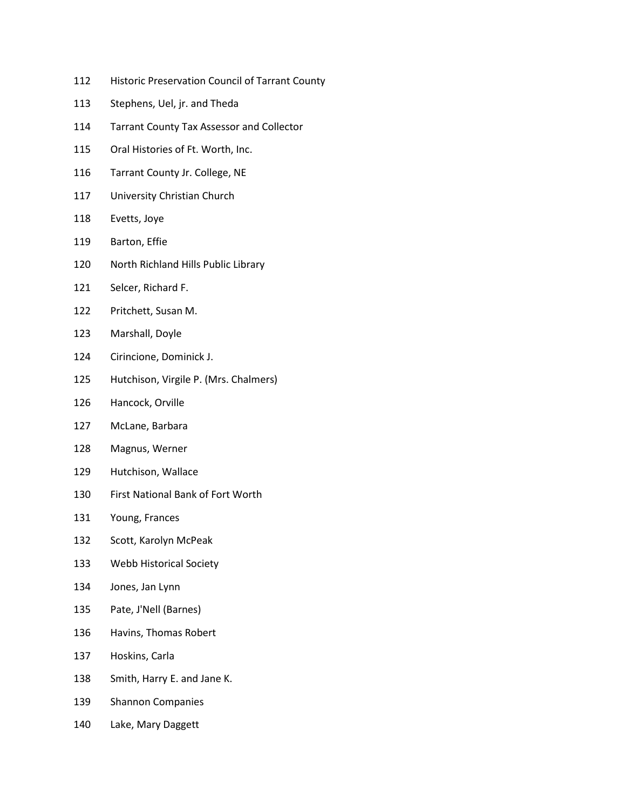- Historic Preservation Council of Tarrant County
- Stephens, Uel, jr. and Theda
- Tarrant County Tax Assessor and Collector
- Oral Histories of Ft. Worth, Inc.
- Tarrant County Jr. College, NE
- University Christian Church
- Evetts, Joye
- Barton, Effie
- North Richland Hills Public Library
- Selcer, Richard F.
- Pritchett, Susan M.
- Marshall, Doyle
- Cirincione, Dominick J.
- Hutchison, Virgile P. (Mrs. Chalmers)
- Hancock, Orville
- McLane, Barbara
- Magnus, Werner
- Hutchison, Wallace
- First National Bank of Fort Worth
- Young, Frances
- Scott, Karolyn McPeak
- Webb Historical Society
- Jones, Jan Lynn
- Pate, J'Nell (Barnes)
- Havins, Thomas Robert
- Hoskins, Carla
- Smith, Harry E. and Jane K.
- Shannon Companies
- Lake, Mary Daggett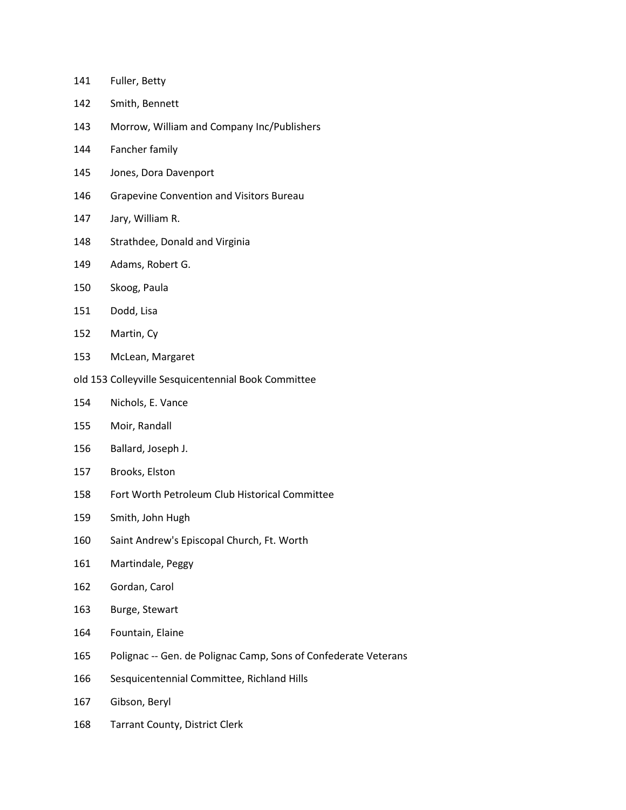- Fuller, Betty
- Smith, Bennett
- Morrow, William and Company Inc/Publishers
- Fancher family
- Jones, Dora Davenport
- Grapevine Convention and Visitors Bureau
- Jary, William R.
- Strathdee, Donald and Virginia
- Adams, Robert G.
- Skoog, Paula
- Dodd, Lisa
- Martin, Cy
- McLean, Margaret
- old 153 Colleyville Sesquicentennial Book Committee
- Nichols, E. Vance
- Moir, Randall
- Ballard, Joseph J.
- Brooks, Elston
- Fort Worth Petroleum Club Historical Committee
- Smith, John Hugh
- Saint Andrew's Episcopal Church, Ft. Worth
- Martindale, Peggy
- Gordan, Carol
- Burge, Stewart
- Fountain, Elaine
- Polignac -- Gen. de Polignac Camp, Sons of Confederate Veterans
- Sesquicentennial Committee, Richland Hills
- Gibson, Beryl
- Tarrant County, District Clerk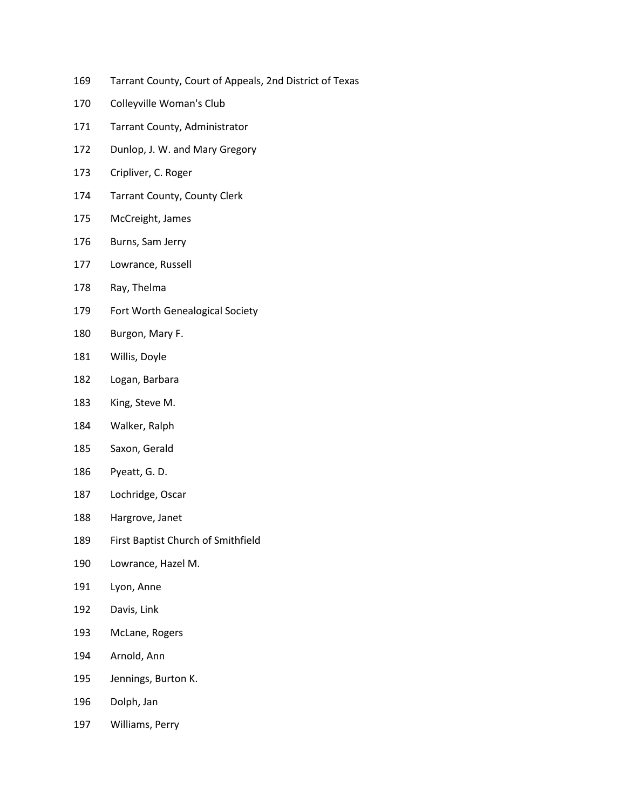- Tarrant County, Court of Appeals, 2nd District of Texas
- Colleyville Woman's Club
- Tarrant County, Administrator
- Dunlop, J. W. and Mary Gregory
- Cripliver, C. Roger
- Tarrant County, County Clerk
- McCreight, James
- Burns, Sam Jerry
- Lowrance, Russell
- Ray, Thelma
- Fort Worth Genealogical Society
- Burgon, Mary F.
- Willis, Doyle
- Logan, Barbara
- King, Steve M.
- Walker, Ralph
- Saxon, Gerald
- Pyeatt, G. D.
- Lochridge, Oscar
- Hargrove, Janet
- First Baptist Church of Smithfield
- Lowrance, Hazel M.
- Lyon, Anne
- Davis, Link
- McLane, Rogers
- Arnold, Ann
- Jennings, Burton K.
- Dolph, Jan
- Williams, Perry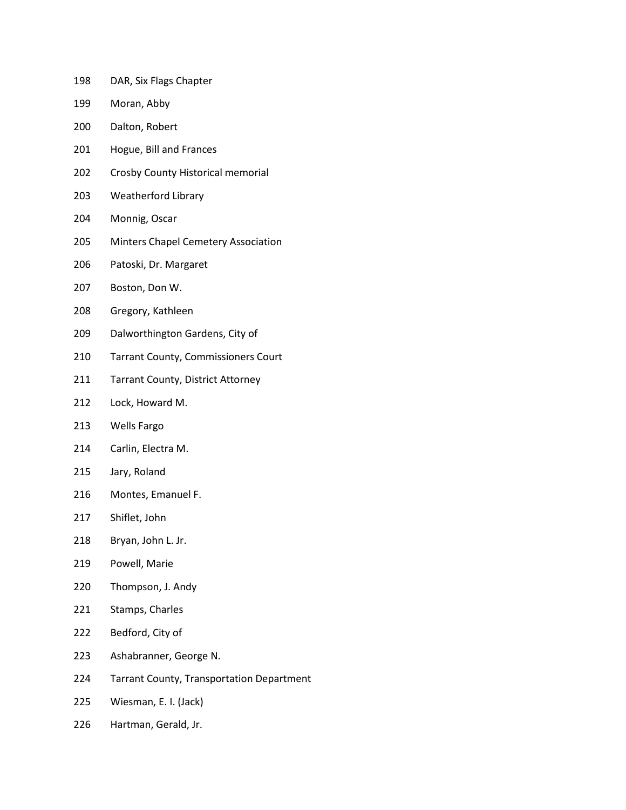- DAR, Six Flags Chapter
- Moran, Abby
- Dalton, Robert
- Hogue, Bill and Frances
- Crosby County Historical memorial
- Weatherford Library
- Monnig, Oscar
- Minters Chapel Cemetery Association
- Patoski, Dr. Margaret
- Boston, Don W.
- Gregory, Kathleen
- Dalworthington Gardens, City of
- Tarrant County, Commissioners Court
- Tarrant County, District Attorney
- Lock, Howard M.
- Wells Fargo
- Carlin, Electra M.
- Jary, Roland
- Montes, Emanuel F.
- Shiflet, John
- Bryan, John L. Jr.
- Powell, Marie
- Thompson, J. Andy
- Stamps, Charles
- Bedford, City of
- Ashabranner, George N.
- Tarrant County, Transportation Department
- Wiesman, E. I. (Jack)
- Hartman, Gerald, Jr.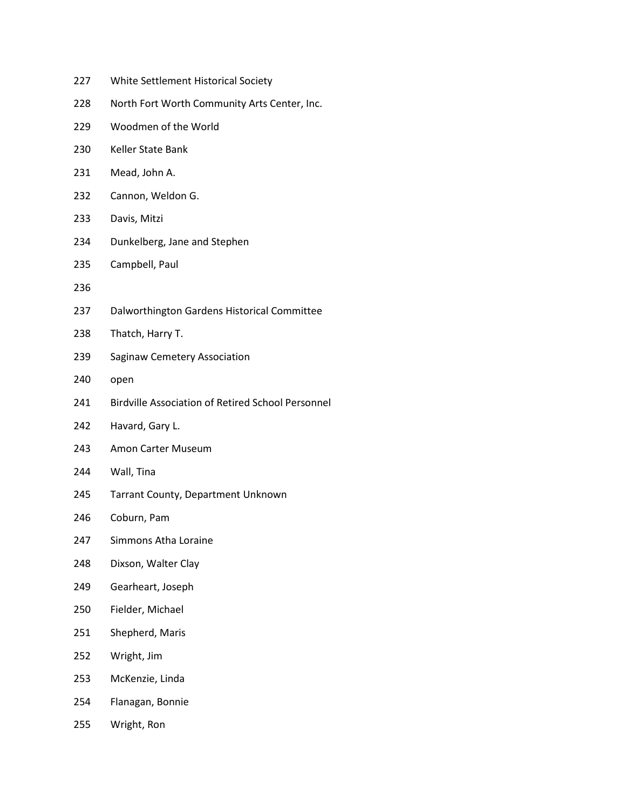- White Settlement Historical Society
- North Fort Worth Community Arts Center, Inc.
- Woodmen of the World
- Keller State Bank
- Mead, John A.
- Cannon, Weldon G.
- Davis, Mitzi
- Dunkelberg, Jane and Stephen
- Campbell, Paul
- 
- Dalworthington Gardens Historical Committee
- Thatch, Harry T.
- Saginaw Cemetery Association
- open
- Birdville Association of Retired School Personnel
- Havard, Gary L.
- Amon Carter Museum
- Wall, Tina
- Tarrant County, Department Unknown
- Coburn, Pam
- Simmons Atha Loraine
- Dixson, Walter Clay
- Gearheart, Joseph
- Fielder, Michael
- Shepherd, Maris
- Wright, Jim
- McKenzie, Linda
- Flanagan, Bonnie
- Wright, Ron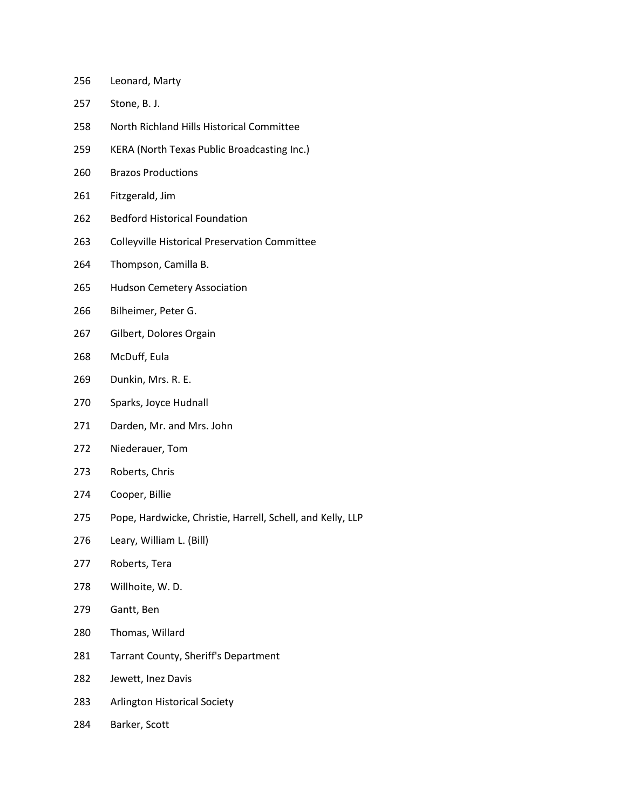- Leonard, Marty
- Stone, B. J.
- North Richland Hills Historical Committee
- KERA (North Texas Public Broadcasting Inc.)
- Brazos Productions
- Fitzgerald, Jim
- Bedford Historical Foundation
- Colleyville Historical Preservation Committee
- Thompson, Camilla B.
- Hudson Cemetery Association
- Bilheimer, Peter G.
- Gilbert, Dolores Orgain
- McDuff, Eula
- Dunkin, Mrs. R. E.
- Sparks, Joyce Hudnall
- Darden, Mr. and Mrs. John
- Niederauer, Tom
- Roberts, Chris
- Cooper, Billie
- Pope, Hardwicke, Christie, Harrell, Schell, and Kelly, LLP
- Leary, William L. (Bill)
- Roberts, Tera
- Willhoite, W. D.
- Gantt, Ben
- Thomas, Willard
- Tarrant County, Sheriff's Department
- Jewett, Inez Davis
- Arlington Historical Society
- Barker, Scott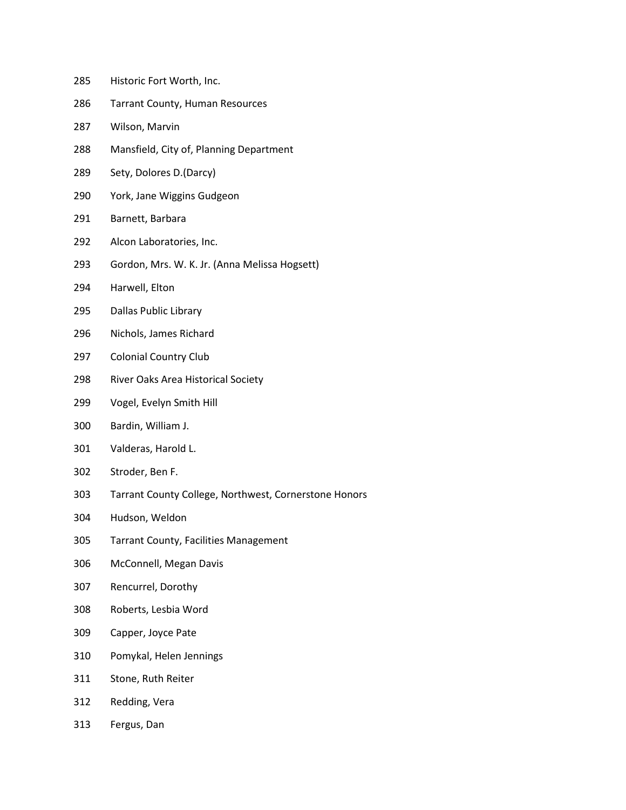- Historic Fort Worth, Inc.
- Tarrant County, Human Resources
- Wilson, Marvin
- Mansfield, City of, Planning Department
- Sety, Dolores D.(Darcy)
- York, Jane Wiggins Gudgeon
- Barnett, Barbara
- Alcon Laboratories, Inc.
- Gordon, Mrs. W. K. Jr. (Anna Melissa Hogsett)
- Harwell, Elton
- Dallas Public Library
- Nichols, James Richard
- Colonial Country Club
- River Oaks Area Historical Society
- Vogel, Evelyn Smith Hill
- Bardin, William J.
- Valderas, Harold L.
- Stroder, Ben F.
- Tarrant County College, Northwest, Cornerstone Honors
- Hudson, Weldon
- Tarrant County, Facilities Management
- McConnell, Megan Davis
- Rencurrel, Dorothy
- Roberts, Lesbia Word
- Capper, Joyce Pate
- Pomykal, Helen Jennings
- Stone, Ruth Reiter
- Redding, Vera
- Fergus, Dan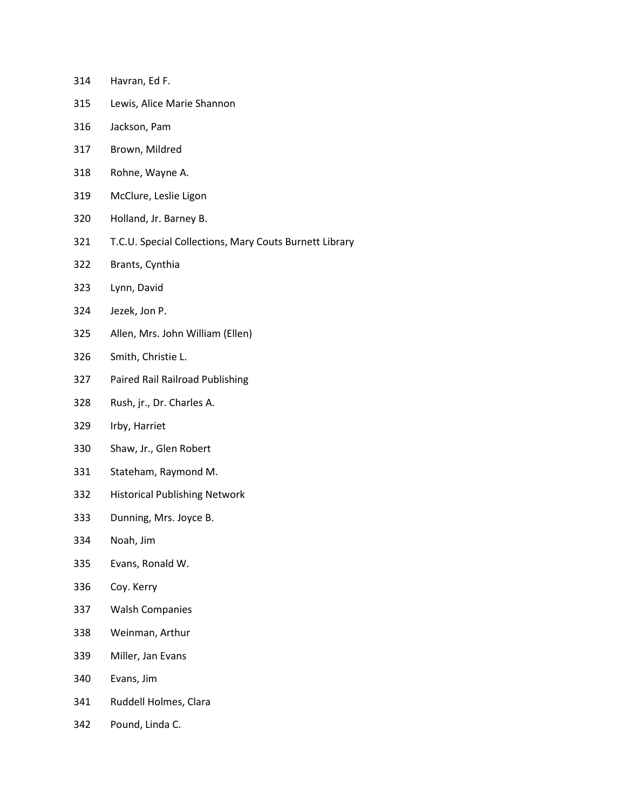- Havran, Ed F.
- Lewis, Alice Marie Shannon
- Jackson, Pam
- Brown, Mildred
- Rohne, Wayne A.
- McClure, Leslie Ligon
- Holland, Jr. Barney B.
- T.C.U. Special Collections, Mary Couts Burnett Library
- Brants, Cynthia
- Lynn, David
- Jezek, Jon P.
- Allen, Mrs. John William (Ellen)
- Smith, Christie L.
- Paired Rail Railroad Publishing
- Rush, jr., Dr. Charles A.
- Irby, Harriet
- Shaw, Jr., Glen Robert
- Stateham, Raymond M.
- Historical Publishing Network
- Dunning, Mrs. Joyce B.
- Noah, Jim
- Evans, Ronald W.
- Coy. Kerry
- Walsh Companies
- Weinman, Arthur
- Miller, Jan Evans
- Evans, Jim
- Ruddell Holmes, Clara
- Pound, Linda C.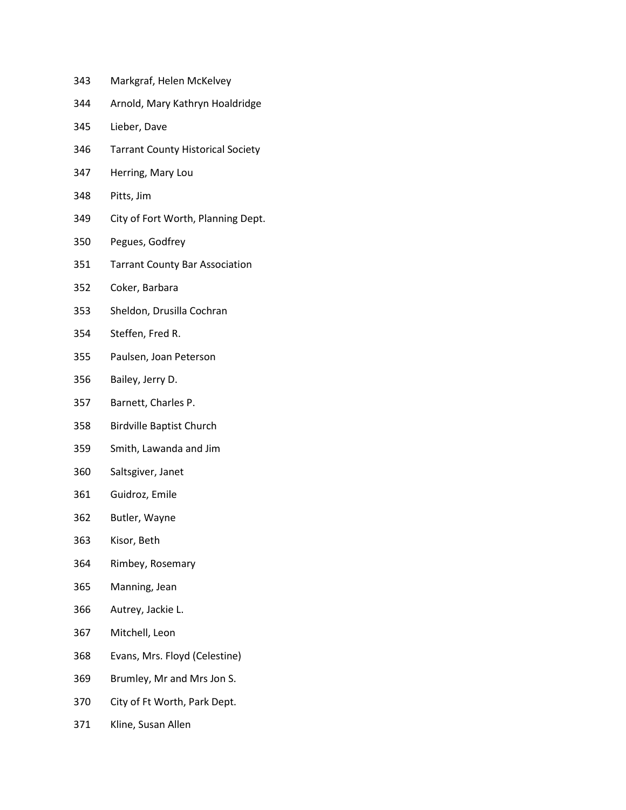- Markgraf, Helen McKelvey
- Arnold, Mary Kathryn Hoaldridge
- Lieber, Dave
- Tarrant County Historical Society
- Herring, Mary Lou
- Pitts, Jim
- City of Fort Worth, Planning Dept.
- Pegues, Godfrey
- Tarrant County Bar Association
- Coker, Barbara
- Sheldon, Drusilla Cochran
- Steffen, Fred R.
- Paulsen, Joan Peterson
- Bailey, Jerry D.
- Barnett, Charles P.
- Birdville Baptist Church
- Smith, Lawanda and Jim
- Saltsgiver, Janet
- Guidroz, Emile
- Butler, Wayne
- Kisor, Beth
- Rimbey, Rosemary
- Manning, Jean
- Autrey, Jackie L.
- Mitchell, Leon
- Evans, Mrs. Floyd (Celestine)
- Brumley, Mr and Mrs Jon S.
- City of Ft Worth, Park Dept.
- Kline, Susan Allen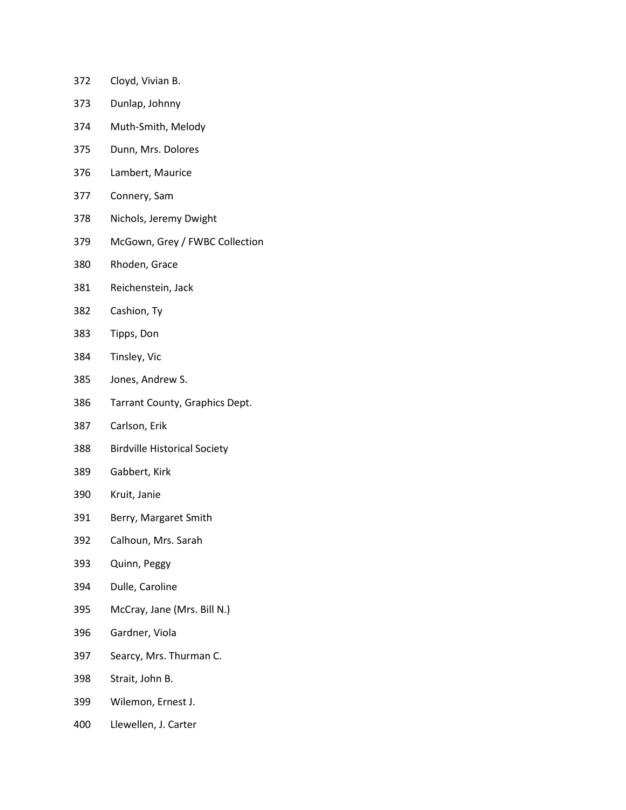- Cloyd, Vivian B.
- Dunlap, Johnny
- Muth-Smith, Melody
- Dunn, Mrs. Dolores
- Lambert, Maurice
- Connery, Sam
- Nichols, Jeremy Dwight
- McGown, Grey / FWBC Collection
- Rhoden, Grace
- Reichenstein, Jack
- Cashion, Ty
- Tipps, Don
- Tinsley, Vic
- Jones, Andrew S.
- Tarrant County, Graphics Dept.
- Carlson, Erik
- Birdville Historical Society
- Gabbert, Kirk
- Kruit, Janie
- Berry, Margaret Smith
- Calhoun, Mrs. Sarah
- Quinn, Peggy
- Dulle, Caroline
- McCray, Jane (Mrs. Bill N.)
- Gardner, Viola
- Searcy, Mrs. Thurman C.
- Strait, John B.
- Wilemon, Ernest J.
- Llewellen, J. Carter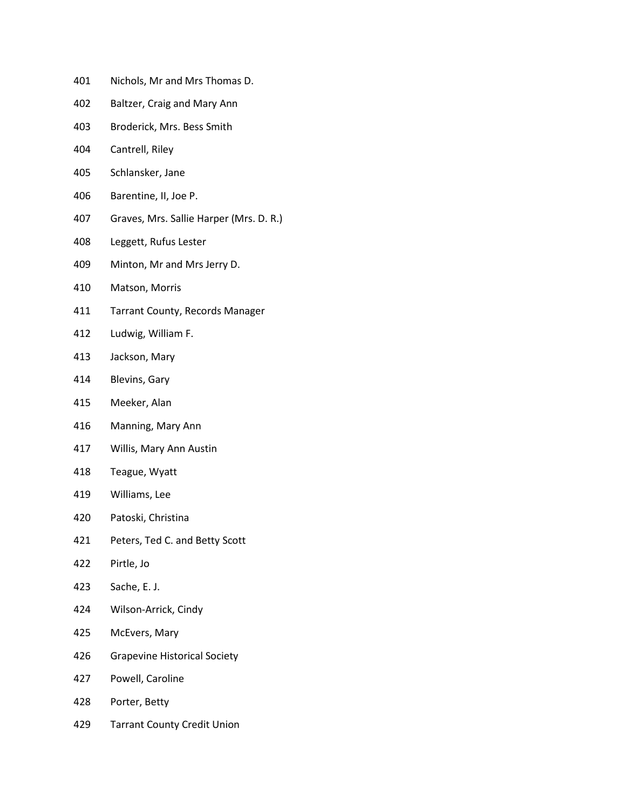- Nichols, Mr and Mrs Thomas D.
- Baltzer, Craig and Mary Ann
- Broderick, Mrs. Bess Smith
- Cantrell, Riley
- Schlansker, Jane
- Barentine, II, Joe P.
- Graves, Mrs. Sallie Harper (Mrs. D. R.)
- Leggett, Rufus Lester
- Minton, Mr and Mrs Jerry D.
- Matson, Morris
- Tarrant County, Records Manager
- Ludwig, William F.
- Jackson, Mary
- Blevins, Gary
- Meeker, Alan
- Manning, Mary Ann
- Willis, Mary Ann Austin
- Teague, Wyatt
- Williams, Lee
- Patoski, Christina
- Peters, Ted C. and Betty Scott
- Pirtle, Jo
- Sache, E. J.
- Wilson-Arrick, Cindy
- McEvers, Mary
- Grapevine Historical Society
- Powell, Caroline
- Porter, Betty
- Tarrant County Credit Union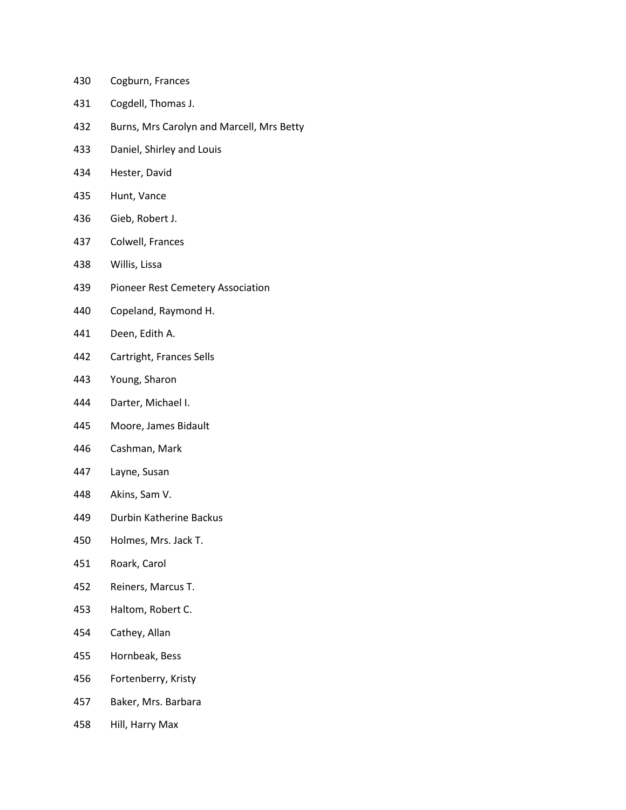- Cogburn, Frances
- Cogdell, Thomas J.
- Burns, Mrs Carolyn and Marcell, Mrs Betty
- Daniel, Shirley and Louis
- Hester, David
- Hunt, Vance
- Gieb, Robert J.
- Colwell, Frances
- Willis, Lissa
- Pioneer Rest Cemetery Association
- Copeland, Raymond H.
- Deen, Edith A.
- Cartright, Frances Sells
- Young, Sharon
- Darter, Michael I.
- Moore, James Bidault
- Cashman, Mark
- Layne, Susan
- Akins, Sam V.
- Durbin Katherine Backus
- Holmes, Mrs. Jack T.
- Roark, Carol
- Reiners, Marcus T.
- Haltom, Robert C.
- Cathey, Allan
- Hornbeak, Bess
- Fortenberry, Kristy
- Baker, Mrs. Barbara
- Hill, Harry Max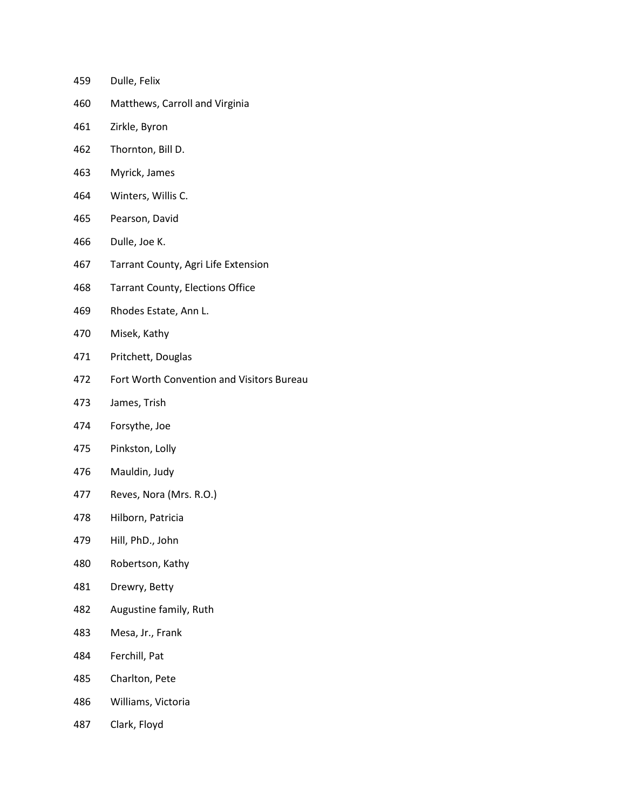- Dulle, Felix
- Matthews, Carroll and Virginia
- Zirkle, Byron
- Thornton, Bill D.
- Myrick, James
- Winters, Willis C.
- Pearson, David
- Dulle, Joe K.
- Tarrant County, Agri Life Extension
- Tarrant County, Elections Office
- Rhodes Estate, Ann L.
- Misek, Kathy
- Pritchett, Douglas
- Fort Worth Convention and Visitors Bureau
- James, Trish
- Forsythe, Joe
- Pinkston, Lolly
- Mauldin, Judy
- Reves, Nora (Mrs. R.O.)
- Hilborn, Patricia
- Hill, PhD., John
- Robertson, Kathy
- Drewry, Betty
- Augustine family, Ruth
- Mesa, Jr., Frank
- Ferchill, Pat
- Charlton, Pete
- Williams, Victoria
- Clark, Floyd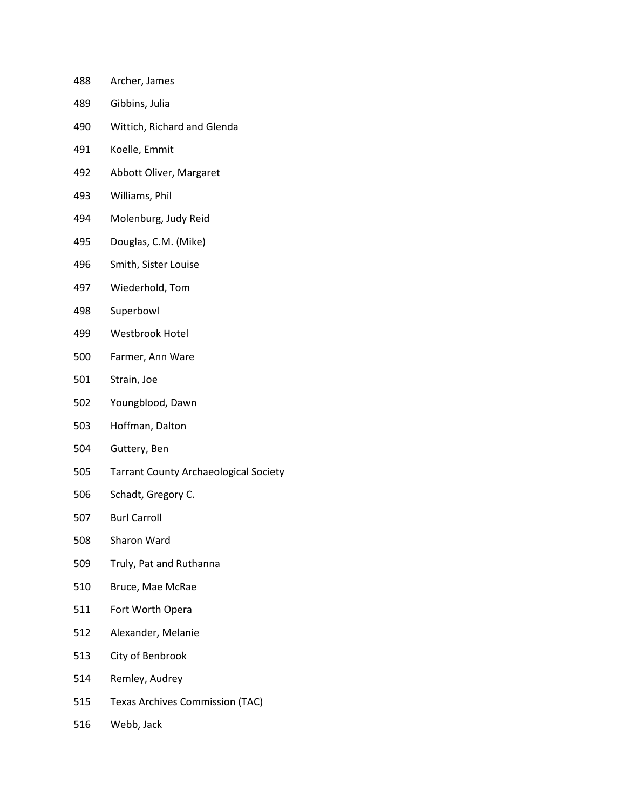| 488 | Archer, James                                |
|-----|----------------------------------------------|
| 489 | Gibbins, Julia                               |
| 490 | Wittich, Richard and Glenda                  |
| 491 | Koelle, Emmit                                |
| 492 | Abbott Oliver, Margaret                      |
| 493 | Williams, Phil                               |
| 494 | Molenburg, Judy Reid                         |
| 495 | Douglas, C.M. (Mike)                         |
| 496 | Smith, Sister Louise                         |
| 497 | Wiederhold, Tom                              |
| 498 | Superbowl                                    |
| 499 | <b>Westbrook Hotel</b>                       |
| 500 | Farmer, Ann Ware                             |
| 501 | Strain, Joe                                  |
| 502 | Youngblood, Dawn                             |
| 503 | Hoffman, Dalton                              |
| 504 | Guttery, Ben                                 |
| 505 | <b>Tarrant County Archaeological Society</b> |
| 506 | Schadt, Gregory C.                           |
| 507 | <b>Burl Carroll</b>                          |
| 508 | Sharon Ward                                  |
| 509 | Truly, Pat and Ruthanna                      |

- Bruce, Mae McRae
- Fort Worth Opera
- Alexander, Melanie
- City of Benbrook
- Remley, Audrey
- Texas Archives Commission (TAC)
- Webb, Jack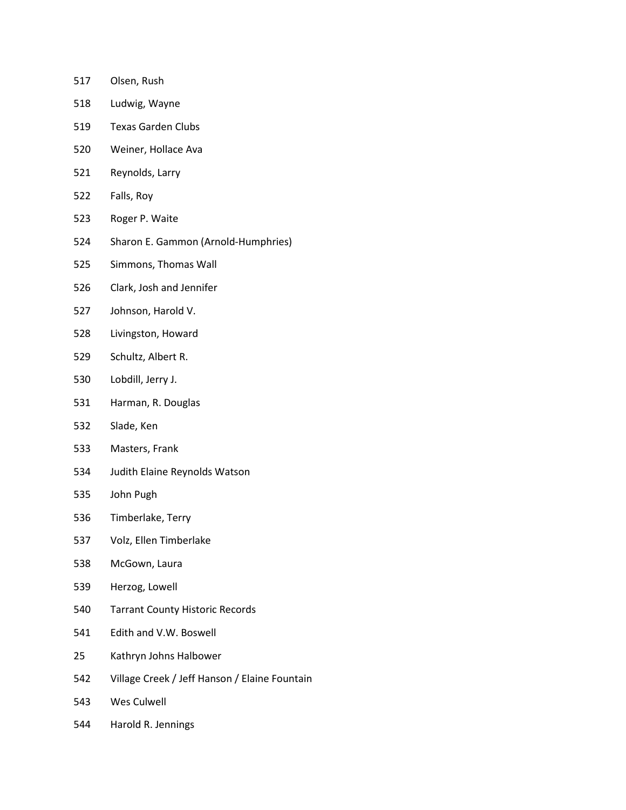- Olsen, Rush
- Ludwig, Wayne
- Texas Garden Clubs
- Weiner, Hollace Ava
- Reynolds, Larry
- Falls, Roy
- Roger P. Waite
- Sharon E. Gammon (Arnold-Humphries)
- Simmons, Thomas Wall
- Clark, Josh and Jennifer
- Johnson, Harold V.
- Livingston, Howard
- Schultz, Albert R.
- Lobdill, Jerry J.
- Harman, R. Douglas
- Slade, Ken
- Masters, Frank
- Judith Elaine Reynolds Watson
- John Pugh
- Timberlake, Terry
- Volz, Ellen Timberlake
- McGown, Laura
- Herzog, Lowell
- Tarrant County Historic Records
- Edith and V.W. Boswell
- Kathryn Johns Halbower
- Village Creek / Jeff Hanson / Elaine Fountain
- Wes Culwell
- Harold R. Jennings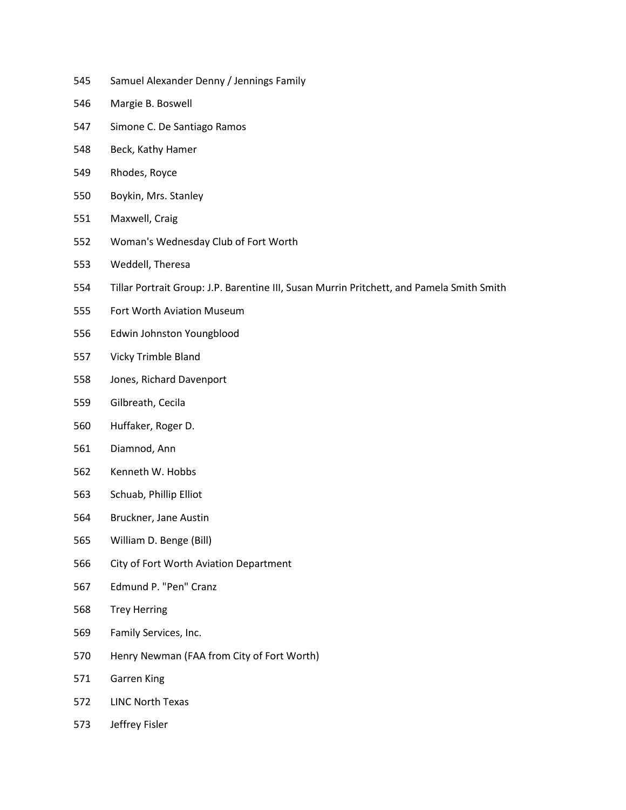- Samuel Alexander Denny / Jennings Family
- Margie B. Boswell
- Simone C. De Santiago Ramos
- Beck, Kathy Hamer
- Rhodes, Royce
- Boykin, Mrs. Stanley
- Maxwell, Craig
- Woman's Wednesday Club of Fort Worth
- Weddell, Theresa
- Tillar Portrait Group: J.P. Barentine III, Susan Murrin Pritchett, and Pamela Smith Smith
- Fort Worth Aviation Museum
- Edwin Johnston Youngblood
- Vicky Trimble Bland
- Jones, Richard Davenport
- Gilbreath, Cecila
- Huffaker, Roger D.
- Diamnod, Ann
- Kenneth W. Hobbs
- Schuab, Phillip Elliot
- Bruckner, Jane Austin
- William D. Benge (Bill)
- City of Fort Worth Aviation Department
- Edmund P. "Pen" Cranz
- Trey Herring
- Family Services, Inc.
- Henry Newman (FAA from City of Fort Worth)
- Garren King
- LINC North Texas
- Jeffrey Fisler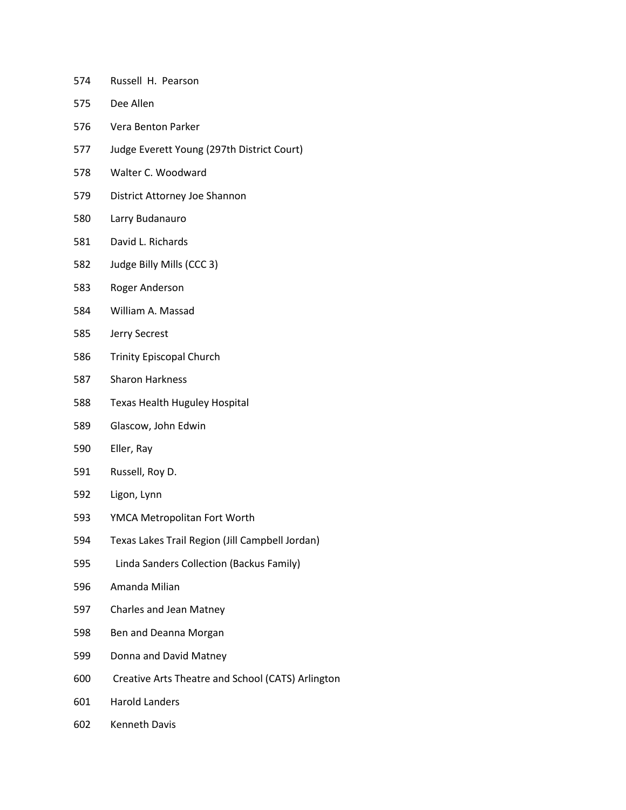- Russell H. Pearson
- Dee Allen
- Vera Benton Parker
- Judge Everett Young (297th District Court)
- Walter C. Woodward
- District Attorney Joe Shannon
- Larry Budanauro
- David L. Richards
- Judge Billy Mills (CCC 3)
- Roger Anderson
- William A. Massad
- Jerry Secrest
- Trinity Episcopal Church
- Sharon Harkness
- Texas Health Huguley Hospital
- Glascow, John Edwin
- Eller, Ray
- Russell, Roy D.
- Ligon, Lynn
- YMCA Metropolitan Fort Worth
- Texas Lakes Trail Region (Jill Campbell Jordan)
- 595 Linda Sanders Collection (Backus Family)
- Amanda Milian
- Charles and Jean Matney
- Ben and Deanna Morgan
- Donna and David Matney
- Creative Arts Theatre and School (CATS) Arlington
- Harold Landers
- Kenneth Davis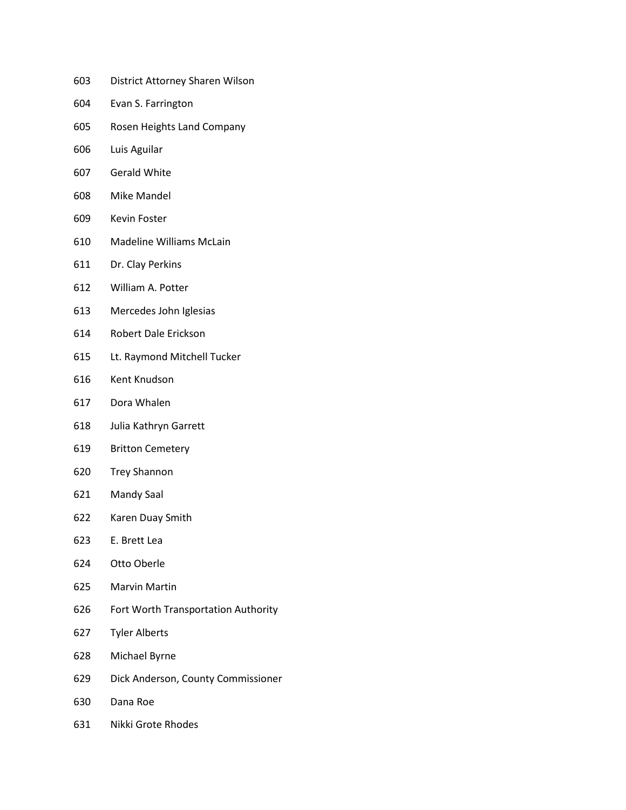- District Attorney Sharen Wilson
- Evan S. Farrington
- Rosen Heights Land Company
- Luis Aguilar
- Gerald White
- Mike Mandel
- Kevin Foster
- Madeline Williams McLain
- Dr. Clay Perkins
- William A. Potter
- Mercedes John Iglesias
- Robert Dale Erickson
- Lt. Raymond Mitchell Tucker
- Kent Knudson
- Dora Whalen
- Julia Kathryn Garrett
- Britton Cemetery
- Trey Shannon
- Mandy Saal
- Karen Duay Smith
- E. Brett Lea
- Otto Oberle
- Marvin Martin
- Fort Worth Transportation Authority
- Tyler Alberts
- Michael Byrne
- Dick Anderson, County Commissioner
- Dana Roe
- Nikki Grote Rhodes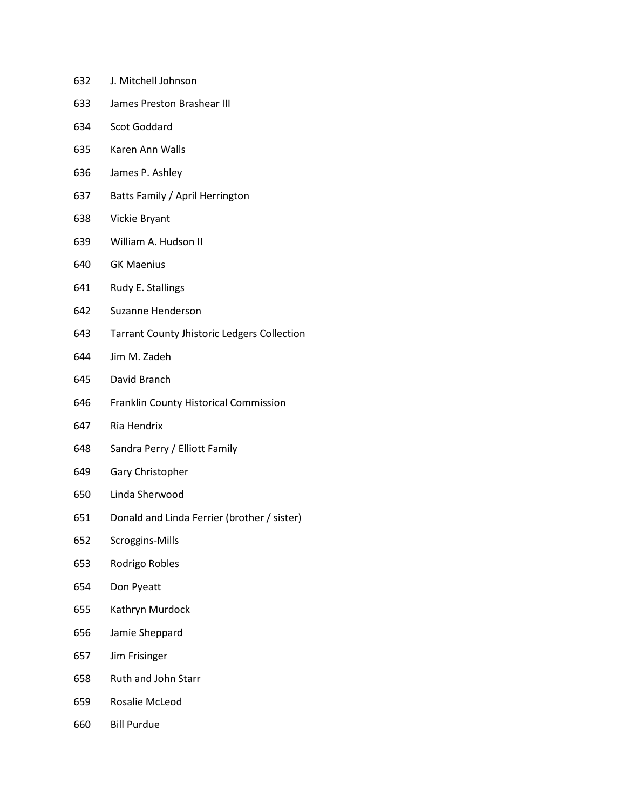- J. Mitchell Johnson
- James Preston Brashear III
- Scot Goddard
- Karen Ann Walls
- James P. Ashley
- Batts Family / April Herrington
- Vickie Bryant
- William A. Hudson II
- GK Maenius
- Rudy E. Stallings
- Suzanne Henderson
- Tarrant County Jhistoric Ledgers Collection
- Jim M. Zadeh
- David Branch
- Franklin County Historical Commission
- Ria Hendrix
- Sandra Perry / Elliott Family
- Gary Christopher
- Linda Sherwood
- Donald and Linda Ferrier (brother / sister)
- Scroggins-Mills
- Rodrigo Robles
- Don Pyeatt
- Kathryn Murdock
- Jamie Sheppard
- Jim Frisinger
- Ruth and John Starr
- Rosalie McLeod
- Bill Purdue